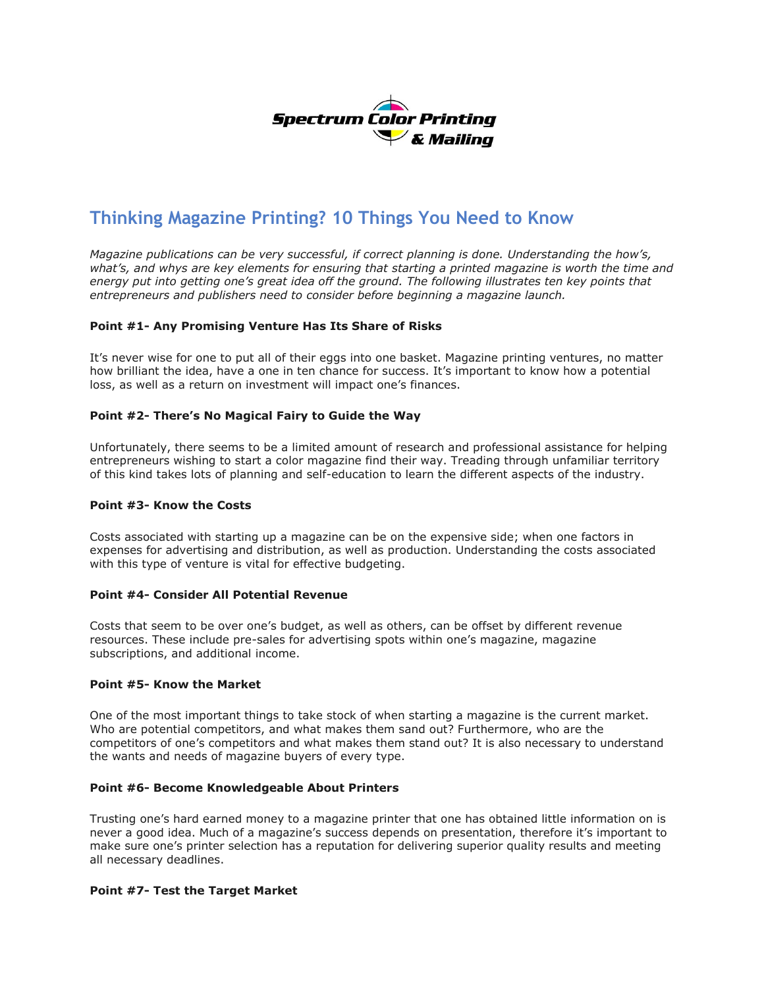

# **Thinking Magazine Printing? 10 Things You Need to Know**

*Magazine publications can be very successful, if correct planning is done. Understanding the how's, what's, and whys are key elements for ensuring that starting a printed magazine is worth the time and energy put into getting one's great idea off the ground. The following illustrates ten key points that entrepreneurs and publishers need to consider before beginning a magazine launch.*

# **Point #1- Any Promising Venture Has Its Share of Risks**

It's never wise for one to put all of their eggs into one basket. Magazine printing ventures, no matter how brilliant the idea, have a one in ten chance for success. It's important to know how a potential loss, as well as a return on investment will impact one's finances.

# **Point #2- There's No Magical Fairy to Guide the Way**

Unfortunately, there seems to be a limited amount of research and professional assistance for helping entrepreneurs wishing to start a color magazine find their way. Treading through unfamiliar territory of this kind takes lots of planning and self-education to learn the different aspects of the industry.

# **Point #3- Know the Costs**

Costs associated with starting up a magazine can be on the expensive side; when one factors in expenses for advertising and distribution, as well as production. Understanding the costs associated with this type of venture is vital for effective budgeting.

#### **Point #4- Consider All Potential Revenue**

Costs that seem to be over one's budget, as well as others, can be offset by different revenue resources. These include pre-sales for advertising spots within one's magazine, magazine subscriptions, and additional income.

#### **Point #5- Know the Market**

One of the most important things to take stock of when starting a magazine is the current market. Who are potential competitors, and what makes them sand out? Furthermore, who are the competitors of one's competitors and what makes them stand out? It is also necessary to understand the wants and needs of magazine buyers of every type.

#### **Point #6- Become Knowledgeable About Printers**

Trusting one's hard earned money to a magazine printer that one has obtained little information on is never a good idea. Much of a magazine's success depends on presentation, therefore it's important to make sure one's printer selection has a reputation for delivering superior quality results and meeting all necessary deadlines.

#### **Point #7- Test the Target Market**